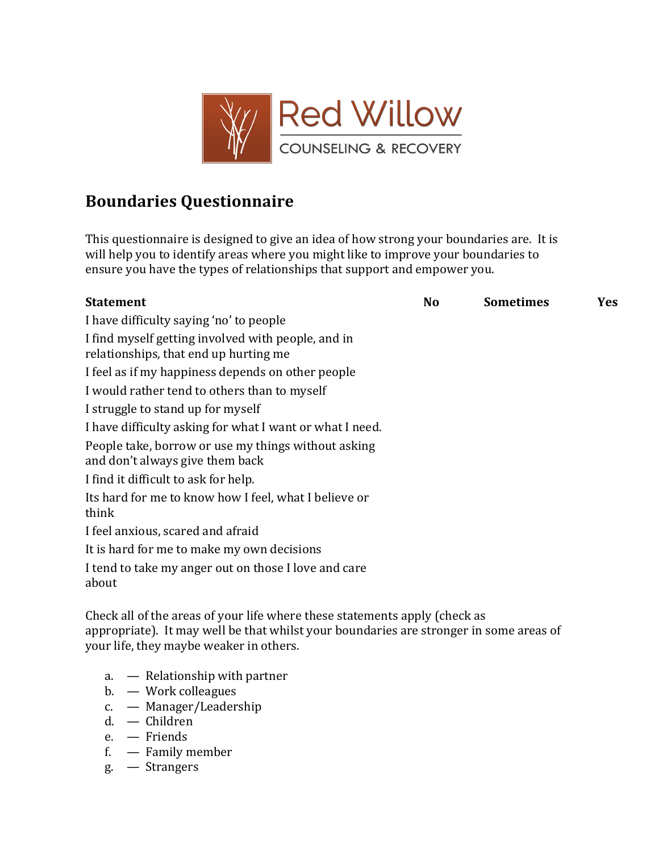

## **Boundaries+Questionnaire**

This questionnaire is designed to give an idea of how strong your boundaries are. It is will help you to identify areas where you might like to improve your boundaries to ensure you have the types of relationships that support and empower you.

| <b>Statement</b>                                                                                                                                                     | <b>No</b> | <b>Sometimes</b> | <b>Yes</b> |
|----------------------------------------------------------------------------------------------------------------------------------------------------------------------|-----------|------------------|------------|
| I have difficulty saying 'no' to people                                                                                                                              |           |                  |            |
| I find myself getting involved with people, and in<br>relationships, that end up hurting me                                                                          |           |                  |            |
| I feel as if my happiness depends on other people                                                                                                                    |           |                  |            |
| I would rather tend to others than to myself                                                                                                                         |           |                  |            |
| I struggle to stand up for myself                                                                                                                                    |           |                  |            |
| I have difficulty asking for what I want or what I need.                                                                                                             |           |                  |            |
| People take, borrow or use my things without asking<br>and don't always give them back                                                                               |           |                  |            |
| I find it difficult to ask for help.                                                                                                                                 |           |                  |            |
| Its hard for me to know how I feel, what I believe or<br>think                                                                                                       |           |                  |            |
| I feel anxious, scared and afraid                                                                                                                                    |           |                  |            |
| It is hard for me to make my own decisions                                                                                                                           |           |                  |            |
| I tend to take my anger out on those I love and care<br>about                                                                                                        |           |                  |            |
| Check all of the areas of your life where these statements apply (check as<br>appropriate). It may well be that whilst your boundaries are stronger in some areas of |           |                  |            |

your life, they maybe weaker in others.

- $a. -$  Relationship with partner
- $b. -$  Work colleagues
- c. Manager/Leadership
- d. Children
- e. Friends
- $f.$  Family member
- g. Strangers